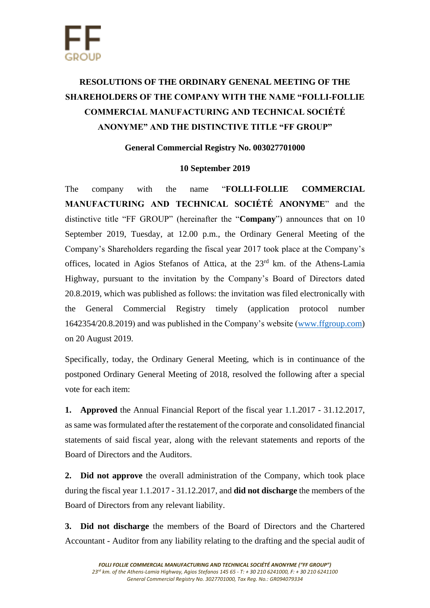# **RESOLUTIONS OF THE ORDINARY GENENAL MEETING OF THE SHAREHOLDERS OF THE COMPANY WITH THE NAME "FOLLI-FOLLIE COMMERCIAL MANUFACTURING AND TECHNICAL SOCIÉTÉ ANONYME" AND THE DISTINCTIVE TITLE "FF GROUP"**

## **General Commercial Registry No. 003027701000**

### **10 September 2019**

The company with the name "**FOLLI-FOLLIE COMMERCIAL MANUFACTURING AND TECHNICAL SOCIÉTÉ ANONYME**" and the distinctive title "FF GROUP" (hereinafter the "**Company**") announces that on 10 September 2019, Tuesday, at 12.00 p.m., the Ordinary General Meeting of the Company's Shareholders regarding the fiscal year 2017 took place at the Company's offices, located in Agios Stefanos of Attica, at the 23rd km. of the Athens-Lamia Highway, pursuant to the invitation by the Company's Board of Directors dated 20.8.2019, which was published as follows: the invitation was filed electronically with the General Commercial Registry timely (application protocol number 1642354/20.8.2019) and was published in the Company's website [\(www.ffgroup.com\)](http://www.ffgroup.com/) on 20 August 2019.

Specifically, today, the Ordinary General Meeting, which is in continuance of the postponed Ordinary General Meeting of 2018, resolved the following after a special vote for each item:

**1. Approved** the Annual Financial Report of the fiscal year 1.1.2017 - 31.12.2017, as same was formulated after the restatement of the corporate and consolidated financial statements of said fiscal year, along with the relevant statements and reports of the Board of Directors and the Auditors.

**2. Did not approve** the overall administration of the Company, which took place during the fiscal year 1.1.2017 - 31.12.2017, and **did not discharge** the members of the Board of Directors from any relevant liability.

**3. Did not discharge** the members of the Board of Directors and the Chartered Accountant - Auditor from any liability relating to the drafting and the special audit of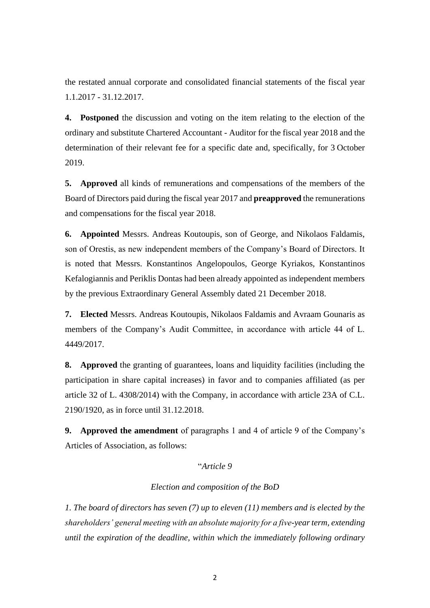the restated annual corporate and consolidated financial statements of the fiscal year 1.1.2017 - 31.12.2017.

**4. Postponed** the discussion and voting on the item relating to the election of the ordinary and substitute Chartered Accountant - Auditor for the fiscal year 2018 and the determination of their relevant fee for a specific date and, specifically, for 3 October 2019.

**5. Approved** all kinds of remunerations and compensations of the members of the Board of Directors paid during the fiscal year 2017 and **preapproved** the remunerations and compensations for the fiscal year 2018.

**6. Appointed** Messrs. Andreas Koutoupis, son of George, and Nikolaos Faldamis, son of Orestis, as new independent members of the Company's Board of Directors. It is noted that Messrs. Konstantinos Angelopoulos, George Kyriakos, Konstantinos Kefalogiannis and Periklis Dontas had been already appointed as independent members by the previous Extraordinary General Assembly dated 21 December 2018.

**7. Elected** Messrs. Andreas Koutoupis, Nikolaos Faldamis and Avraam Gounaris as members of the Company's Audit Committee, in accordance with article 44 of L. 4449/2017.

**8. Approved** the granting of guarantees, loans and liquidity facilities (including the participation in share capital increases) in favor and to companies affiliated (as per article 32 of L. 4308/2014) with the Company, in accordance with article 23A of C.L. 2190/1920, as in force until 31.12.2018.

**9. Approved the amendment** of paragraphs 1 and 4 of article 9 of the Company's Articles of Association, as follows:

#### "*Article 9*

#### *Election and composition of the BoD*

*1. The board of directors has seven (7) up to eleven (11) members and is elected by the shareholders' general meeting with an absolute majority for a five-year term, extending until the expiration of the deadline, within which the immediately following ordinary*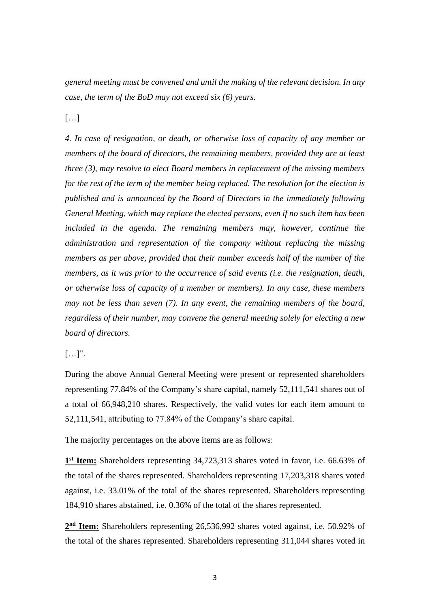*general meeting must be convened and until the making of the relevant decision. In any case, the term of the BoD may not exceed six (6) years.*

[…]

*4. In case of resignation, or death, or otherwise loss of capacity of any member or members of the board of directors, the remaining members, provided they are at least three (3), may resolve to elect Board members in replacement of the missing members for the rest of the term of the member being replaced. The resolution for the election is published and is announced by the Board of Directors in the immediately following General Meeting, which may replace the elected persons, even if no such item has been included in the agenda. The remaining members may, however, continue the administration and representation of the company without replacing the missing members as per above, provided that their number exceeds half of the number of the members, as it was prior to the occurrence of said events (i.e. the resignation, death, or otherwise loss of capacity of a member or members). In any case, these members may not be less than seven (7). In any event, the remaining members of the board, regardless of their number, may convene the general meeting solely for electing a new board of directors.*

 $[\ldots]$ ".

During the above Annual General Meeting were present or represented shareholders representing 77.84% of the Company's share capital, namely 52,111,541 shares out of a total of 66,948,210 shares. Respectively, the valid votes for each item amount to 52,111,541, attributing to 77.84% of the Company's share capital.

The majority percentages on the above items are as follows:

1<sup>st</sup> Item: Shareholders representing 34,723,313 shares voted in favor, i.e. 66.63% of the total of the shares represented. Shareholders representing 17,203,318 shares voted against, i.e. 33.01% of the total of the shares represented. Shareholders representing 184,910 shares abstained, i.e. 0.36% of the total of the shares represented.

2<sup>nd</sup> Item: Shareholders representing 26,536,992 shares voted against, i.e. 50.92% of the total of the shares represented. Shareholders representing 311,044 shares voted in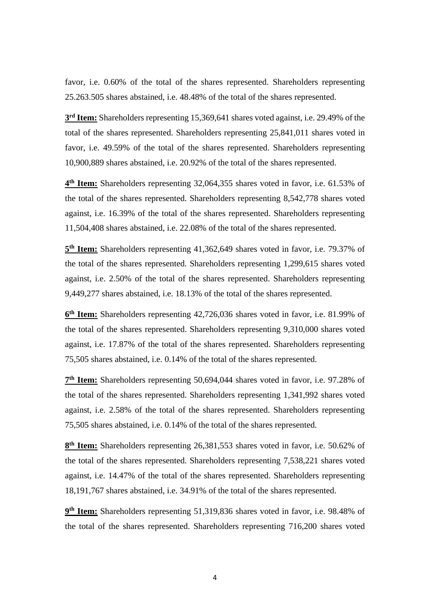favor, i.e. 0.60% of the total of the shares represented. Shareholders representing 25.263.505 shares abstained, i.e. 48.48% of the total of the shares represented.

**3 rd Item:** Shareholders representing 15,369,641 shares voted against, i.e. 29.49% of the total of the shares represented. Shareholders representing 25,841,011 shares voted in favor, i.e. 49.59% of the total of the shares represented. Shareholders representing 10,900,889 shares abstained, i.e. 20.92% of the total of the shares represented.

**4 th Item:** Shareholders representing 32,064,355 shares voted in favor, i.e. 61.53% of the total of the shares represented. Shareholders representing 8,542,778 shares voted against, i.e. 16.39% of the total of the shares represented. Shareholders representing 11,504,408 shares abstained, i.e. 22.08% of the total of the shares represented.

5<sup>th</sup> Item: Shareholders representing 41,362,649 shares voted in favor, i.e. 79.37% of the total of the shares represented. Shareholders representing 1,299,615 shares voted against, i.e. 2.50% of the total of the shares represented. Shareholders representing 9,449,277 shares abstained, i.e. 18.13% of the total of the shares represented.

**6 th Item:** Shareholders representing 42,726,036 shares voted in favor, i.e. 81.99% of the total of the shares represented. Shareholders representing 9,310,000 shares voted against, i.e. 17.87% of the total of the shares represented. Shareholders representing 75,505 shares abstained, i.e. 0.14% of the total of the shares represented.

**7 th Item:** Shareholders representing 50,694,044 shares voted in favor, i.e. 97.28% of the total of the shares represented. Shareholders representing 1,341,992 shares voted against, i.e. 2.58% of the total of the shares represented. Shareholders representing 75,505 shares abstained, i.e. 0.14% of the total of the shares represented.

8<sup>th</sup> Item: Shareholders representing 26,381,553 shares voted in favor, i.e. 50.62% of the total of the shares represented. Shareholders representing 7,538,221 shares voted against, i.e. 14.47% of the total of the shares represented. Shareholders representing 18,191,767 shares abstained, i.e. 34.91% of the total of the shares represented.

**9 th Item:** Shareholders representing 51,319,836 shares voted in favor, i.e. 98.48% of the total of the shares represented. Shareholders representing 716,200 shares voted